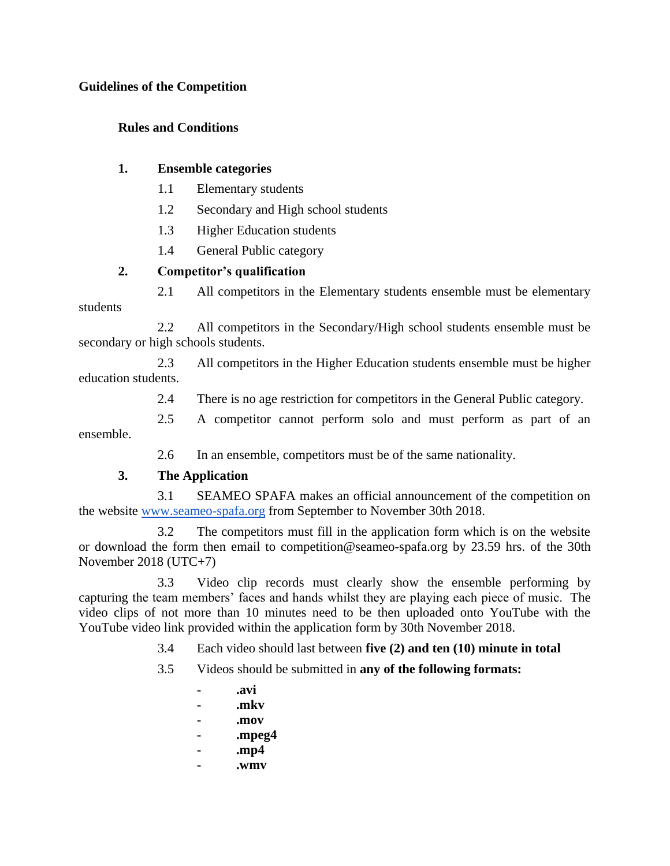#### **Guidelines of the Competition**

## **Rules and Conditions**

## **1. Ensemble categories**

- 1.1 Elementary students
- 1.2 Secondary and High school students
- 1.3 Higher Education students
- 1.4 General Public category

## **2. Competitor's qualification**

2.1 All competitors in the Elementary students ensemble must be elementary students

2.2 All competitors in the Secondary/High school students ensemble must be secondary or high schools students.

2.3 All competitors in the Higher Education students ensemble must be higher education students.

2.4 There is no age restriction for competitors in the General Public category.

2.5 A competitor cannot perform solo and must perform as part of an ensemble.

2.6 In an ensemble, competitors must be of the same nationality.

# **3. The Application**

3.1 SEAMEO SPAFA makes an official announcement of the competition on the website [www.seameo-spafa.org](http://www.seameo-spafa.org/) from September to November 30th 2018.

3.2 The competitors must fill in the application form which is on the website or download the form then email to competition@seameo-spafa.org by 23.59 hrs. of the 30th November 2018 (UTC+7)

3.3 Video clip records must clearly show the ensemble performing by capturing the team members' faces and hands whilst they are playing each piece of music. The video clips of not more than 10 minutes need to be then uploaded onto YouTube with the YouTube video link provided within the application form by 30th November 2018.

- 3.4 Each video should last between **five (2) and ten (10) minute in total**
- 3.5 Videos should be submitted in **any of the following formats:**
	- **- .avi**
	- **- .mkv**
	- **- .mov**
	- **- .mpeg4**
	- **- .mp4**
	- **- .wmv**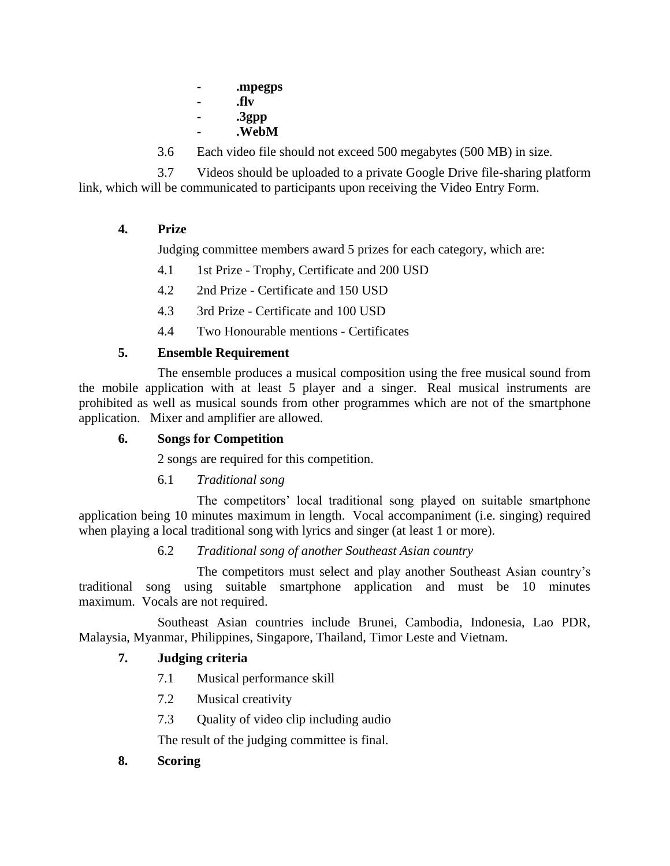- **- .mpegps**
- **- .flv**
- **- .3gpp**
- **- .WebM**
- 3.6 Each video file should not exceed 500 megabytes (500 MB) in size.

3.7 Videos should be uploaded to a private Google Drive file-sharing platform link, which will be communicated to participants upon receiving the Video Entry Form.

## **4. Prize**

Judging committee members award 5 prizes for each category, which are:

- 4.1 1st Prize Trophy, Certificate and 200 USD
- 4.2 2nd Prize Certificate and 150 USD
- 4.3 3rd Prize Certificate and 100 USD
- 4.4 Two Honourable mentions Certificates

## **5. Ensemble Requirement**

The ensemble produces a musical composition using the free musical sound from the mobile application with at least 5 player and a singer. Real musical instruments are prohibited as well as musical sounds from other programmes which are not of the smartphone application. Mixer and amplifier are allowed.

#### **6. Songs for Competition**

2 songs are required for this competition.

#### 6.1 *Traditional song*

The competitors' local traditional song played on suitable smartphone application being 10 minutes maximum in length. Vocal accompaniment (i.e. singing) required when playing a local traditional song with lyrics and singer (at least 1 or more).

#### 6.2 *Traditional song of another Southeast Asian country*

The competitors must select and play another Southeast Asian country's traditional song using suitable smartphone application and must be 10 minutes maximum. Vocals are not required.

Southeast Asian countries include Brunei, Cambodia, Indonesia, Lao PDR, Malaysia, Myanmar, Philippines, Singapore, Thailand, Timor Leste and Vietnam.

# **7. Judging criteria**

- 7.1 Musical performance skill
- 7.2 Musical creativity
- 7.3 Quality of video clip including audio

The result of the judging committee is final.

**8. Scoring**